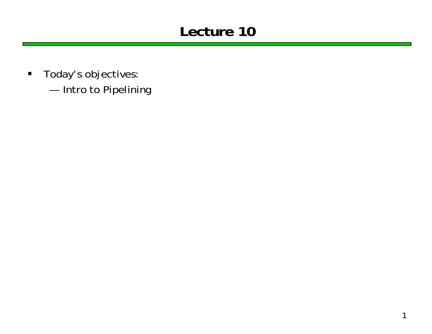### **Lecture 10**

- Today's objectives:
	- ————————— Intro to Pipelining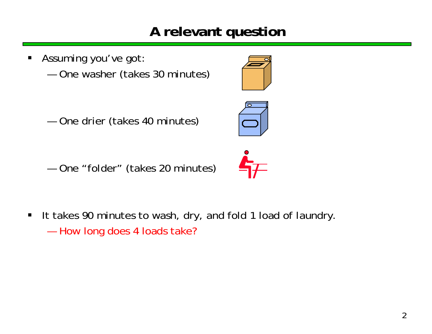#### **A relevant question**

 $\blacksquare$  Assuming you've got: ————————— One washer (takes 30 minutes)



————————— One drier (takes 40 minutes)

————————— One "folder" (takes 20 minutes)



 $\blacksquare$  It takes 90 minutes to wash, dry, and fold 1 load of laundry. **—** How long does 4 loads take?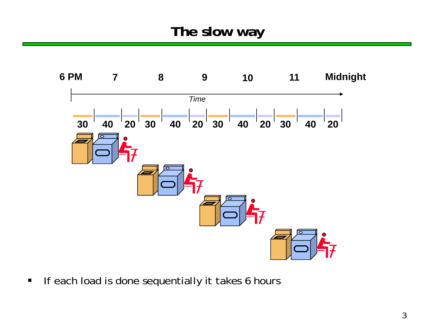

 $\blacksquare$ If each load is done sequentially it takes 6 hours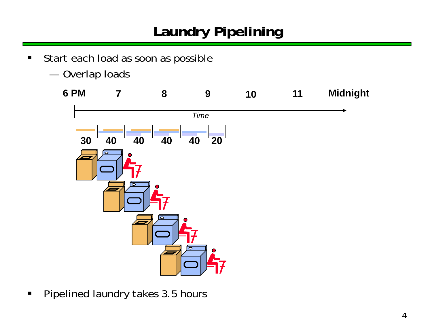## **Laundry Pipelining**

- $\blacksquare$  Start each load as soon as possible
	- —Overlap loads



 $\blacksquare$ Pipelined laundry takes 3.5 hours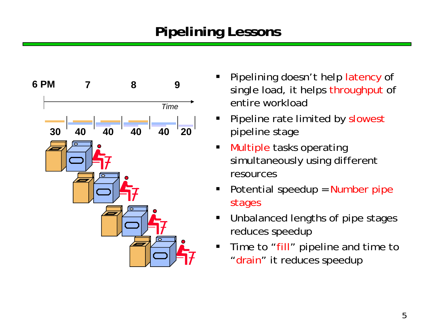### **Pipelining Lessons**



- ٠ Pipelining doesn't help latency of single load, it helps throughput of entire workload
- $\blacksquare$  Pipeline rate limited by slowest pipeline stage
- $\blacksquare$  Multiple tasks operating simultaneously using different resources
- П Potential speedup = Number pipe stages
- $\blacksquare$  Unbalanced lengths of pipe stages reduces speedup
- ٠ Time to "fill" pipeline and time to "drain" it reduces speedup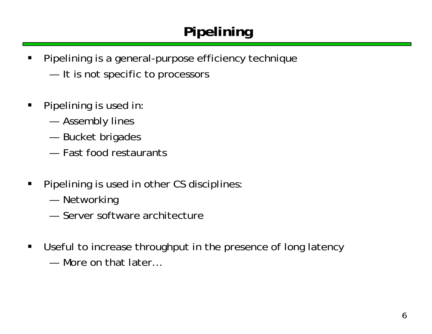# **Pipelining**

- $\blacksquare$  Pipelining is a general-purpose efficiency technique
	- ————————— It is not specific to processors
- $\blacksquare$  Pipelining is used in:
	- ————————— Assembly lines
	- ————————— Bucket brigades
	- Fast food restaurants
- $\blacksquare$  Pipelining is used in other CS disciplines:
	- ————————— Networking
	- Server software architecture
- $\blacksquare$  Useful to increase throughput in the presence of long latency
	- More on that later…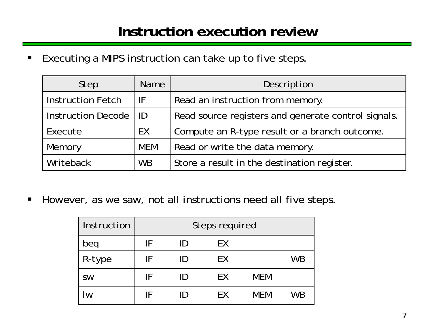#### **Instruction execution review**

 $\blacksquare$ Executing a MIPS instruction can take up to five steps.

| Step                      | <b>Name</b> | Description                                         |
|---------------------------|-------------|-----------------------------------------------------|
| <b>Instruction Fetch</b>  | IF          | Read an instruction from memory.                    |
| <b>Instruction Decode</b> | l ID        | Read source registers and generate control signals. |
| Execute                   | EX          | Compute an R-type result or a branch outcome.       |
| Memory                    | MEM         | Read or write the data memory.                      |
| Writeback                 | <b>WB</b>   | Store a result in the destination register.         |

 $\blacksquare$ However, as we saw, not all instructions need all five steps.

| Instruction | Steps required |    |     |            |           |  |  |  |  |
|-------------|----------------|----|-----|------------|-----------|--|--|--|--|
| beg         | IF             | ID | EX  |            |           |  |  |  |  |
| R-type      | IF             | ID | EX  |            | <b>WB</b> |  |  |  |  |
| <b>SW</b>   | IF             | ID | EX  | <b>MEM</b> |           |  |  |  |  |
| W           | IF             | ID | FX. | MFM        | <b>WB</b> |  |  |  |  |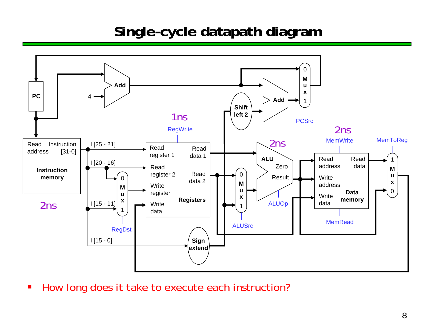#### **Single-cycle datapath diagram**



 $\overline{\phantom{a}}$ How long does it take to execute each instruction?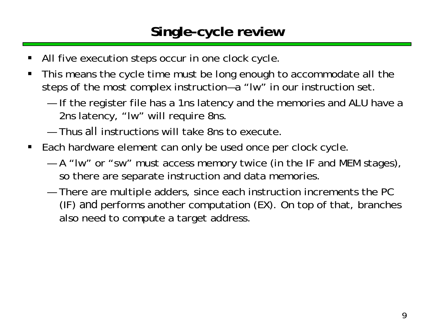#### **Single-cycle review**

- ш All five execution steps occur in one clock cycle.
- П This means the cycle time must be long enough to accommodate all the steps of the most complex instruction—a "lw" in our instruction set.
	- ————————— If the register file has a 1ns latency and the memories and ALU have a 2ns latency, "lw" will require 8ns.
	- Thus *all* instructions will take 8ns to execute.
- $\blacksquare$  Each hardware element can only be used once per clock cycle.
	- ————————— A "lw" or "sw" must access memory twice (in the IF and MEM stages), so there are separate instruction and data memories.
	- ————————— There are multiple adders, since each instruction increments the PC (IF) *and* performs another computation (EX). On top of that, branches also need to compute a target address.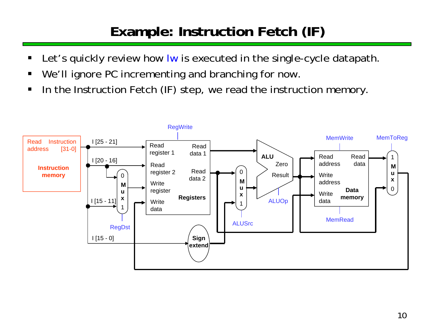## **Example: Instruction Fetch (IF)**

- ш Let's quickly review how Iw is executed in the single-cycle datapath.
- $\blacksquare$ We'll ignore PC incrementing and branching for now.
- $\blacksquare$ In the Instruction Fetch (IF) step, we read the instruction memory.

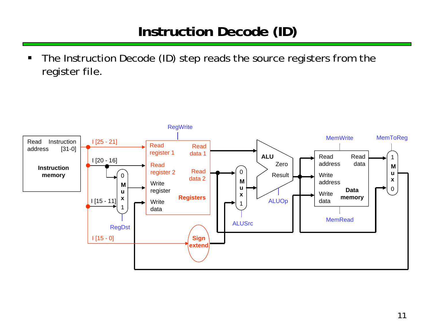#### **Instruction Decode (ID)**

 $\blacksquare$  The Instruction Decode (ID) step reads the source registers from the register file.

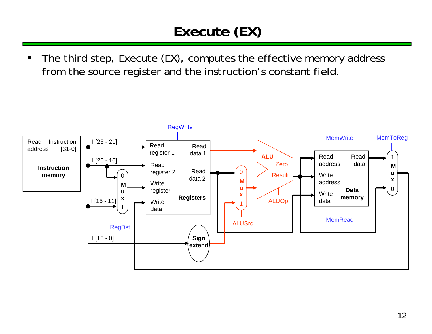## **Execute (EX)**

 $\blacksquare$  The third step, Execute (EX), computes the effective memory address from the source register and the instruction's constant field.

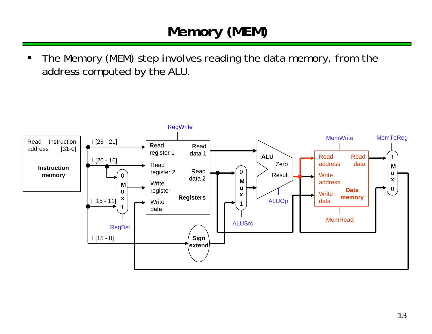## **Memory (MEM)**

 $\blacksquare$  The Memory (MEM) step involves reading the data memory, from the address computed by the ALU.

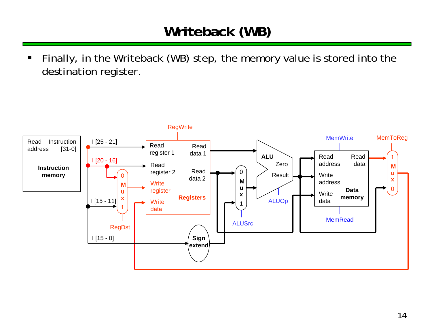### **Writeback (WB)**

 $\blacksquare$  Finally, in the Writeback (WB) step, the memory value is stored into the destination register.

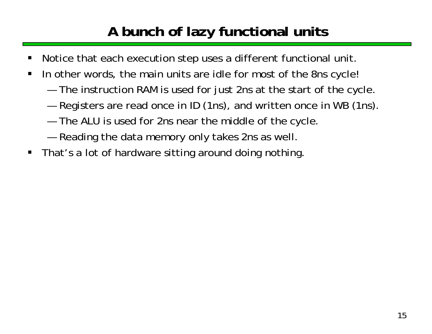## **A bunch of lazy functional units**

- $\blacksquare$ Notice that each execution step uses a different functional unit.
- $\blacksquare$  In other words, the main units are idle for most of the 8ns cycle!
	- ————————— The instruction RAM is used for just 2ns at the start of the cycle.
	- and the control of the control of the control of the control of the control of the control of Registers are read once in ID (1ns), and written once in WB (1ns).
	- ————————— The ALU is used for 2ns near the middle of the cycle.
	- ————————— Reading the data memory only takes 2ns as well.
- $\blacksquare$ That's a lot of hardware sitting around doing nothing.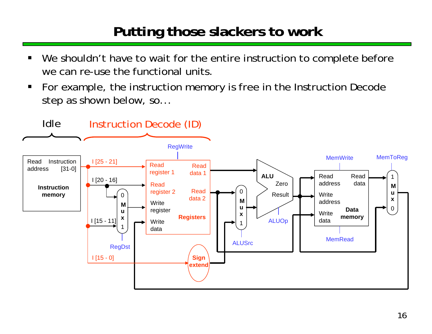#### **Putting those slackers to work**

- ш We shouldn't have to wait for the entire instruction to complete before we can re-use the functional units.
- $\blacksquare$  For example, the instruction memory is free in the Instruction Decode step as shown below, so...

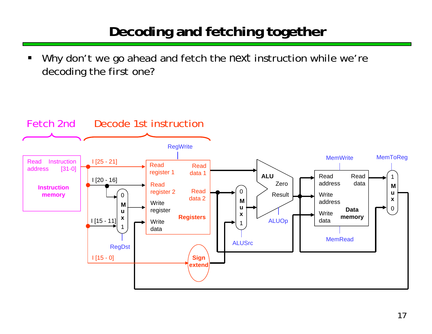### **Decoding and fetching together**

ш Why don't we go ahead and fetch the *next* instruction while we're decoding the first one?

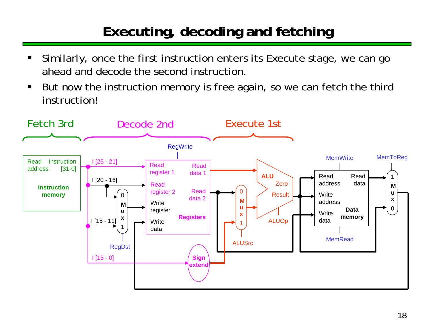## **Executing, decoding and fetching**

- ш Similarly, once the first instruction enters its Execute stage, we can go ahead and decode the second instruction.
- $\blacksquare$  But now the instruction memory is free again, so we can fetch the third instruction!

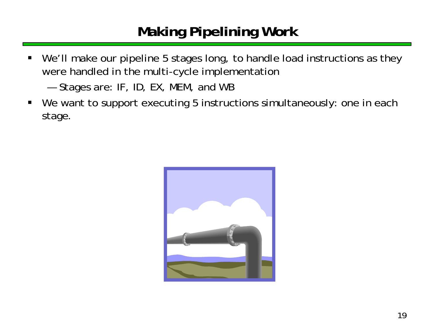### **Making Pipelining Work**

- $\blacksquare$  We'll make our pipeline 5 stages long, to handle load instructions as they were handled in the multi-cycle implementation
	- ————————— Stages are: IF, ID, EX, MEM, and WB
- $\blacksquare$ We want to support executing 5 instructions simultaneously: one in each stage.

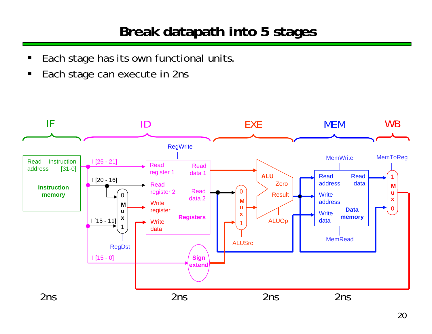### **Break datapath into 5 stages**

- $\blacksquare$ Each stage has its own functional units.
- $\blacksquare$ Each stage can execute in 2ns

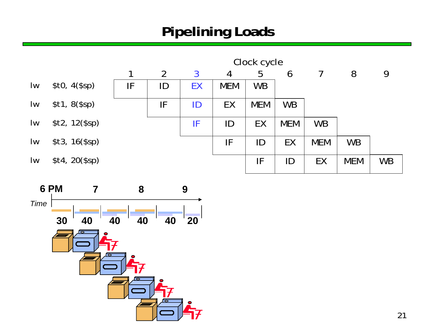### **Pipelining Loads**

|         |                 | Clock cycle |                |    |                |            |            |            |            |           |
|---------|-----------------|-------------|----------------|----|----------------|------------|------------|------------|------------|-----------|
|         |                 |             | $\overline{2}$ | 3  | $\overline{4}$ | 5          | 6          |            | 8          | 9         |
| Iw      | \$t0, 4 (\$sp)  | IF          | ID             | EX | <b>MEM</b>     | <b>WB</b>  |            |            |            |           |
| $I_{W}$ | \$t1, 8 (\$sp)  |             | IF             | ID | EX             | <b>MEM</b> | <b>WB</b>  |            |            |           |
| Iw      | \$t2, 12 (\$sp) |             |                | IF | ID             | EX         | <b>MEM</b> | <b>WB</b>  |            |           |
| Iw      | \$t3, 16 (\$sp) |             |                |    | IF             | ID         | EX         | <b>MEM</b> | <b>WB</b>  |           |
| Iw      | \$t4, 20 (\$sp) |             |                |    |                | IF         | ID         | EX         | <b>MEM</b> | <b>WB</b> |

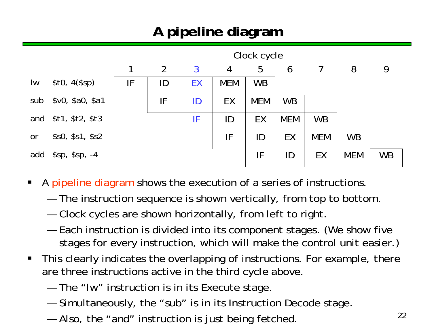## **A pipeline diagram**



- $\blacksquare$  A pipeline diagram shows the execution of a series of instructions.
	- ————————— The instruction sequence is shown vertically, from top to bottom.
	- ————————— Clock cycles are shown horizontally, from left to right.
	- and the control of the control of the control of the control of the control of the control of Each instruction is divided into its component stages. (We show five stages for every instruction, which will make the control unit easier.)
- $\blacksquare$  This clearly indicates the overlapping of instructions. For example, there are three instructions active in the third cycle above.
	- ————————— The "lw" instruction is in its Execute stage.
	- ————————— Simultaneously, the "sub" is in its Instruction Decode stage.
	- ————————— Also, the "and" instruction is just being fetched.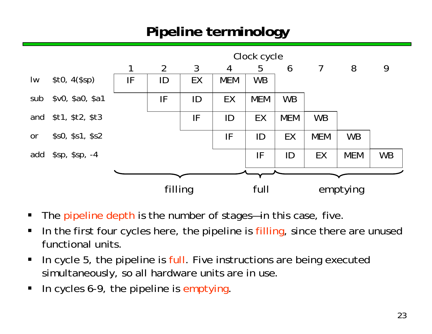### **Pipeline terminology**



- $\blacksquare$ The pipeline depth is the number of stages—in this case, five.
- $\blacksquare$ In the first four cycles here, the pipeline is filling, since there are unused functional units.
- $\blacksquare$ In cycle 5, the pipeline is full. Five instructions are being executed simultaneously, so all hardware units are in use.
- $\blacksquare$ In cycles 6-9, the pipeline is emptying.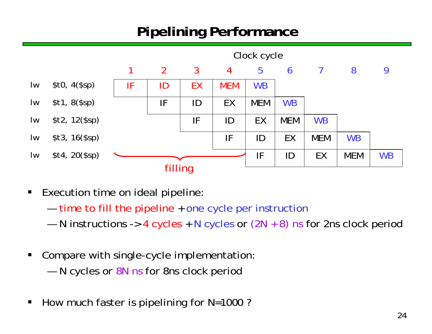### **Pipelining Performance**



- $\blacksquare$  Execution time on ideal pipeline:
	- —————————  $-$  time to fill the pipeline  $\texttt{+}$  one cycle per instruction
	- ————————— N instructions -> 4 cycles + N cycles or (2N + 8) ns for 2ns clock period
- $\blacksquare$  Compare with single-cycle implementation:
	- ————————— N cycles or 8N ns for 8ns clock period
- $\blacksquare$ How much faster is pipelining for N=1000 ?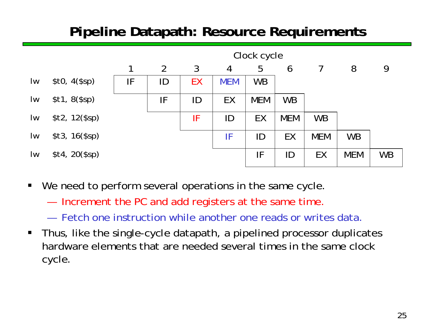#### **Pipeline Datapath: Resource Requirements**



- $\blacksquare$ We need to perform several operations in the same cycle.
	- —Increment the PC and add registers at the same time.
	- Fetch one instruction while another one reads or writes data.
- $\blacksquare$  Thus, like the single-cycle datapath, a pipelined processor duplicates hardware elements that are needed several times in the same clock cycle.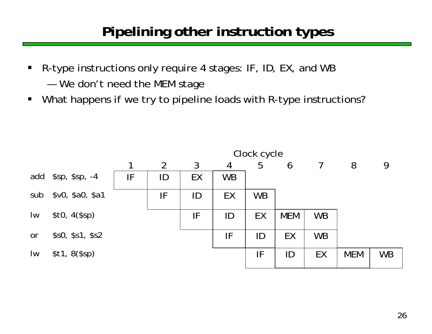#### **Pipelining other instruction types**

- $\blacksquare$  R-type instructions only require 4 stages: IF, ID, EX, and WB ————————— We don't need the MEM stage
- $\blacksquare$ What happens if we try to pipeline loads with R-type instructions?

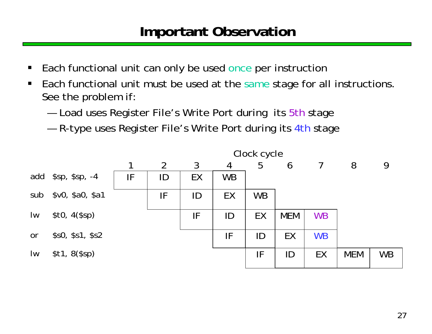#### **Important Observation**

- $\blacksquare$ Each functional unit can only be used once per instruction
- $\blacksquare$ Each functional unit must be used at the same stage for all instructions. See the problem if:
	- ————————— Load uses Register File's Write Port during its 5th stage
	- and the control of the control of the control of the control of the control of the control of R-type uses Register File's Write Port during its 4th stage

|                         |                    | Clock cycle |    |    |           |           |            |           |            |           |
|-------------------------|--------------------|-------------|----|----|-----------|-----------|------------|-----------|------------|-----------|
|                         |                    | 1           | 2  | 3  | 4         | 5         | 6          |           | 8          | 9         |
|                         | add \$sp, \$sp, -4 | IF          | ID | EX | <b>WB</b> |           |            |           |            |           |
| sub                     | \$v0, \$a0, \$a1   |             | IF | ID | EX        | <b>WB</b> |            |           |            |           |
| $\mathsf{I} \mathsf{w}$ | \$t0, 4 (\$sp)     |             |    | IF | ID        | EX        | <b>MEM</b> | <b>WB</b> |            |           |
| or                      | \$s0, \$s1, \$s2   |             |    |    | IF        | ID        | EX         | <b>WB</b> |            |           |
| $I_{W}$                 | \$t1, 8 (\$sp)     |             |    |    |           | IF        | ID         | EX        | <b>MEM</b> | <b>WB</b> |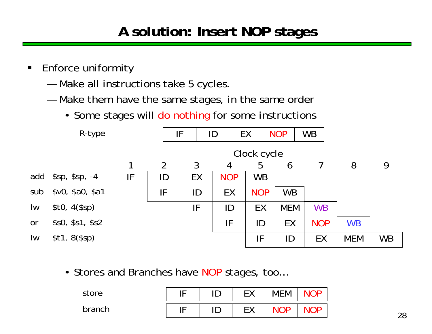### **A solution: Insert NOP stages**

- $\blacksquare$  Enforce uniformity
	- ————————— Make all instructions take 5 cycles.
	- ————————— Make them have the same stages, in the same order
		- Some stages will do nothing for some instructions



• Stores and Branches have NOP stages, too…

| store  | ┍ | <b>FY</b>       | <b>MEM</b> |  |
|--------|---|-----------------|------------|--|
| branch | ┗ | <b>FY</b><br>しへ |            |  |